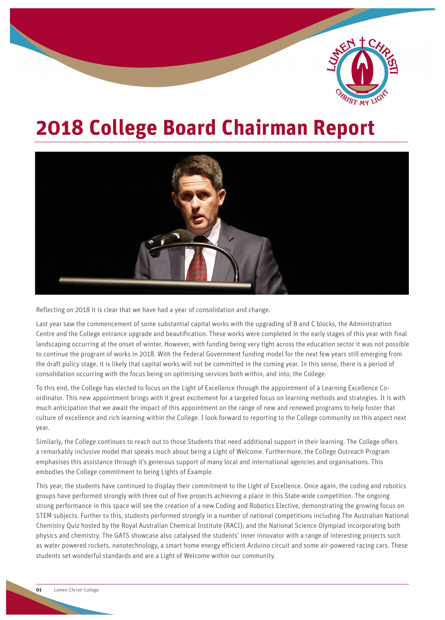

## **2018 College Board Chairman Report**



Reflecting on 2018 it is clear that we have had a year of consolidation and change.

Last year saw the commencement of some substantial capital works with the upgrading of B and C blocks, the Administration Centre and the College entrance upgrade and beautification. These works were completed in the early stages of this year with final landscaping occurring at the onset of winter. However, with funding being very tight across the education sector it was not possible to continue the program of works in 2018. With the Federal Government funding model for the next few years still emerging from the draft policy stage, it is likely that capital works will not be committed in the coming year. In this sense, there is a period of consolidation occurring with the focus being on optimising services both within, and into, the College.

To this end, the College has elected to focus on the Light of Excellence through the appointment of a Learning Excellence Coordinator. This new appointment brings with it great excitement for a targeted focus on learning methods and strategies. It is with much anticipation that we await the impact of this appointment on the range of new and renewed programs to help foster that culture of excellence and rich learning within the College. I look forward to reporting to the College community on this aspect next year.

Similarly, the College continues to reach out to those Students that need additional support in their learning. The College offers a remarkably inclusive model that speaks much about being a Light of Welcome. Furthermore, the College Outreach Program emphasises this assistance through it's generous support of many local and international agencies and organisations. This embodies the College commitment to being Lights of Example.

This year, the students have continued to display their commitment to the Light of Excellence. Once again, the coding and robotics groups have performed strongly with three out of five projects achieving a place in this State-wide competition. The ongoing strong performance in this space will see the creation of a new Coding and Robotics Elective, demonstrating the growing focus on STEM subjects. Further to this, students performed strongly in a number of national competitions including The Australian National Chemistry Quiz hosted by the Royal Australian Chemical Institute (RACI); and the National Science Olympiad incorporating both physics and chemistry. The GATS showcase also catalysed the students' inner innovator with a range of interesting projects such as water powered rockets, nanotechnology, a smart home energy efficient Arduino circuit and some air-powered racing cars. These students set wonderful standards and are a Light of Welcome within our community.